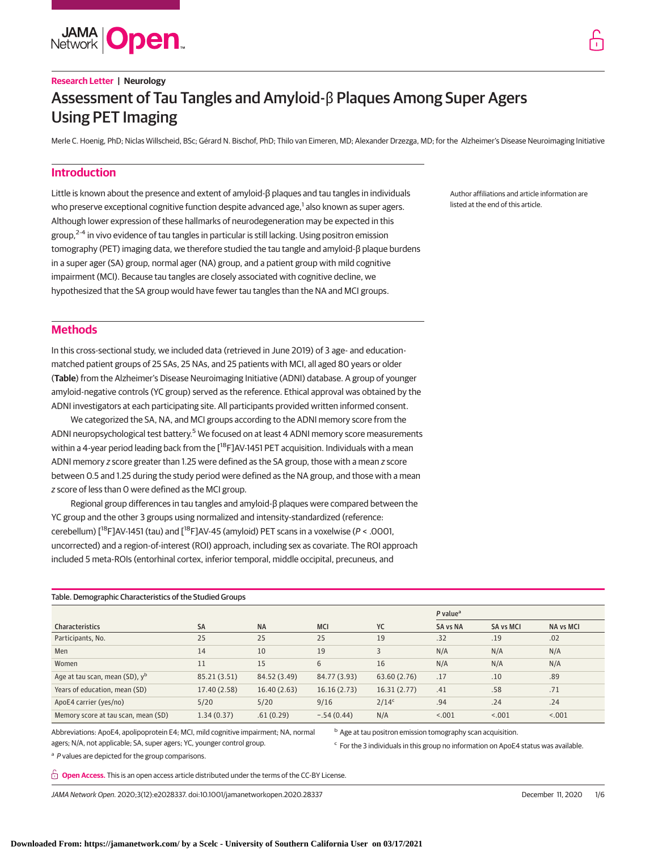

# **Research Letter | Neurology** Assessment of Tau Tangles and Amyloid-β Plaques Among Super Agers Using PET Imaging

Merle C. Hoenig, PhD; Niclas Willscheid, BSc; Gérard N. Bischof, PhD; Thilo van Eimeren, MD; Alexander Drzezga, MD; for the Alzheimer's Disease Neuroimaging Initiative

# **Introduction**

Little is known about the presence and extent of amyloid-β plaques and tau tangles in individuals who preserve exceptional cognitive function despite advanced age,<sup>1</sup> also known as super agers. Although lower expression of these hallmarks of neurodegeneration may be expected in this group,<sup>2-4</sup> in vivo evidence of tau tangles in particular is still lacking. Using positron emission tomography (PET) imaging data, we therefore studied the tau tangle and amyloid-β plaque burdens in a super ager (SA) group, normal ager (NA) group, and a patient group with mild cognitive impairment (MCI). Because tau tangles are closely associated with cognitive decline, we hypothesized that the SA group would have fewer tau tangles than the NA and MCI groups.

Author affiliations and article information are listed at the end of this article.

### **Methods**

In this cross-sectional study, we included data (retrieved in June 2019) of 3 age- and educationmatched patient groups of 25 SAs, 25 NAs, and 25 patients with MCI, all aged 80 years or older (**Table**) from the Alzheimer's Disease Neuroimaging Initiative (ADNI) database. A group of younger amyloid-negative controls (YC group) served as the reference. Ethical approval was obtained by the ADNI investigators at each participating site. All participants provided written informed consent.

We categorized the SA, NA, and MCI groups according to the ADNI memory score from the ADNI neuropsychological test battery.<sup>5</sup> We focused on at least 4 ADNI memory score measurements within a 4-year period leading back from the [<sup>18</sup>F]AV-1451 PET acquisition. Individuals with a mean ADNI memory z score greater than 1.25 were defined as the SA group, those with a mean z score between 0.5 and 1.25 during the study period were defined as the NA group, and those with a mean z score of less than 0 were defined as the MCI group.

Regional group differences in tau tangles and amyloid-β plaques were compared between the YC group and the other 3 groups using normalized and intensity-standardized (reference: cerebellum)  $[^{18}F]$ AV-1451 (tau) and  $[^{18}F]$ AV-45 (amyloid) PET scans in a voxelwise (P < .0001, uncorrected) and a region-of-interest (ROI) approach, including sex as covariate. The ROI approach included 5 meta-ROIs (entorhinal cortex, inferior temporal, middle occipital, precuneus, and

### Table. Demographic Characteristics of the Studied Groups

|                                     |              |              |              |                   | $P$ value <sup>a</sup> |                  |           |
|-------------------------------------|--------------|--------------|--------------|-------------------|------------------------|------------------|-----------|
| <b>Characteristics</b>              | <b>SA</b>    | <b>NA</b>    | <b>MCI</b>   | YC                | <b>SA vs NA</b>        | <b>SA vs MCI</b> | NA vs MCI |
| Participants, No.                   | 25           | 25           | 25           | 19                | .32                    | .19              | .02       |
| Men                                 | 14           | 10           | 19           | 3                 | N/A                    | N/A              | N/A       |
| Women                               | 11           | 15           | 6            | 16                | N/A                    | N/A              | N/A       |
| Age at tau scan, mean (SD), $vb$    | 85.21 (3.51) | 84.52 (3.49) | 84.77 (3.93) | 63.60 (2.76)      | .17                    | .10              | .89       |
| Years of education, mean (SD)       | 17.40 (2.58) | 16.40(2.63)  | 16.16(2.73)  | 16.31(2.77)       | .41                    | .58              | .71       |
| ApoE4 carrier (yes/no)              | 5/20         | 5/20         | 9/16         | 2/14 <sup>c</sup> | .94                    | .24              | .24       |
| Memory score at tau scan, mean (SD) | 1.34(0.37)   | .61(0.29)    | $-.54(0.44)$ | N/A               | < 0.001                | < 0.001          | < .001    |

Abbreviations: ApoE4, apolipoprotein E4; MCI, mild cognitive impairment; NA, normal agers; N/A, not applicable; SA, super agers; YC, younger control group.

<sup>a</sup> P values are depicted for the group comparisons.

b Age at tau positron emission tomography scan acquisition.

<sup>c</sup> For the 3 individuals in this group no information on ApoE4 status was available.

**Open Access.** This is an open access article distributed under the terms of the CC-BY License.

JAMA Network Open. 2020;3(12):e2028337. doi:10.1001/jamanetworkopen.2020.28337 (Reprinted) December 11, 2020 1/6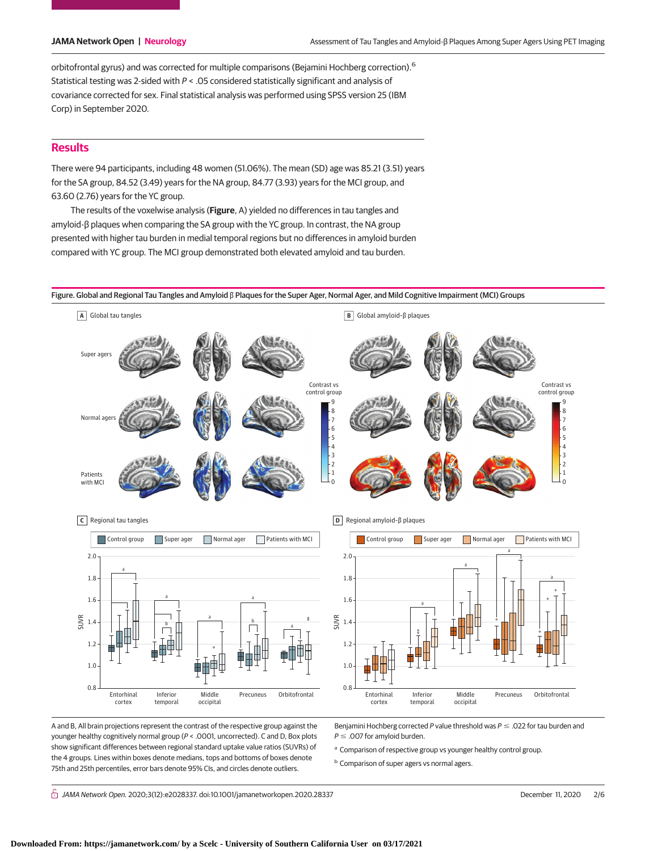orbitofrontal gyrus) and was corrected for multiple comparisons (Bejamini Hochberg correction).<sup>6</sup> Statistical testing was 2-sided with P < .05 considered statistically significant and analysis of covariance corrected for sex. Final statistical analysis was performed using SPSS version 25 (IBM Corp) in September 2020.

## **Results**

There were 94 participants, including 48 women (51.06%). The mean (SD) age was 85.21 (3.51) years for the SA group, 84.52 (3.49) years for the NA group, 84.77 (3.93) years for the MCI group, and 63.60 (2.76) years for the YC group.

The results of the voxelwise analysis (**Figure**, A) yielded no differences in tau tangles and amyloid-β plaques when comparing the SA group with the YC group. In contrast, the NA group presented with higher tau burden in medial temporal regions but no differences in amyloid burden compared with YC group. The MCI group demonstrated both elevated amyloid and tau burden.



A and B, All brain projections represent the contrast of the respective group against the younger healthy cognitively normal group (P < .0001, uncorrected). C and D, Box plots show significant differences between regional standard uptake value ratios (SUVRs) of the 4 groups. Lines within boxes denote medians, tops and bottoms of boxes denote 75th and 25th percentiles, error bars denote 95% CIs, and circles denote outliers.

Benjamini Hochberg corrected P value threshold was  $P \leq .022$  for tau burden and  $P \leq .007$  for amyloid burden.

<sup>a</sup> Comparison of respective group vs younger healthy control group.

**b** Comparison of super agers vs normal agers.

 $\bigcap$  JAMA Network Open. 2020;3(12):e2028337. doi:10.1001/jamanetworkopen.2020.28337 (Reprinted) December 11, 2020 2/6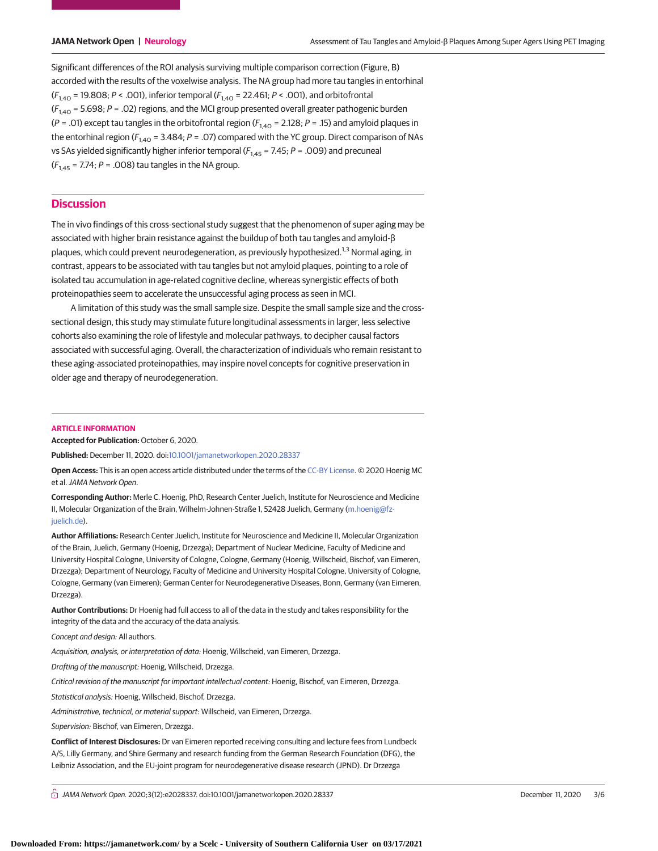Significant differences of the ROI analysis surviving multiple comparison correction (Figure, B) accorded with the results of the voxelwise analysis. The NA group had more tau tangles in entorhinal  $(F<sub>1,40</sub> = 19.808; P < .001)$ , inferior temporal  $(F<sub>1,40</sub> = 22.461; P < .001)$ , and orbitofrontal  $(F<sub>140</sub> = 5.698; P = .02)$  regions, and the MCI group presented overall greater pathogenic burden (P = .01) except tau tangles in the orbitofrontal region ( $F_{1,40}$  = 2.128; P = .15) and amyloid plaques in the entorhinal region ( $F_{1,40}$  = 3.484; P = .07) compared with the YC group. Direct comparison of NAs vs SAs yielded significantly higher inferior temporal ( $F_{1,45}$  = 7.45; P = .009) and precuneal  $(F<sub>1.45</sub> = 7.74; P = .008)$  tau tangles in the NA group.

### **Discussion**

The in vivo findings of this cross-sectional study suggest that the phenomenon of super aging may be associated with higher brain resistance against the buildup of both tau tangles and amyloid-β plaques, which could prevent neurodegeneration, as previously hypothesized.<sup>1,3</sup> Normal aging, in contrast, appears to be associated with tau tangles but not amyloid plaques, pointing to a role of isolated tau accumulation in age-related cognitive decline, whereas synergistic effects of both proteinopathies seem to accelerate the unsuccessful aging process as seen in MCI.

A limitation of this study was the small sample size. Despite the small sample size and the crosssectional design, this study may stimulate future longitudinal assessments in larger, less selective cohorts also examining the role of lifestyle and molecular pathways, to decipher causal factors associated with successful aging. Overall, the characterization of individuals who remain resistant to these aging-associated proteinopathies, may inspire novel concepts for cognitive preservation in older age and therapy of neurodegeneration.

#### **ARTICLE INFORMATION**

**Accepted for Publication:** October 6, 2020.

**Published:** December 11, 2020. doi[:10.1001/jamanetworkopen.2020.28337](https://jama.jamanetwork.com/article.aspx?doi=10.1001/jamanetworkopen.2020.28337&utm_campaign=articlePDF%26utm_medium=articlePDFlink%26utm_source=articlePDF%26utm_content=jamanetworkopen.2020.28337)

**Open Access:** This is an open access article distributed under the terms of the [CC-BY License.](https://jamanetwork.com/journals/jamanetworkopen/pages/instructions-for-authors#SecOpenAccess/?utm_campaign=articlePDF%26utm_medium=articlePDFlink%26utm_source=articlePDF%26utm_content=jamanetworkopen.2020.28337) © 2020 Hoenig MC et al.JAMA Network Open.

**Corresponding Author:** Merle C. Hoenig, PhD, Research Center Juelich, Institute for Neuroscience and Medicine II, Molecular Organization of the Brain, Wilhelm-Johnen-Straße 1, 52428 Juelich, Germany [\(m.hoenig@fz](mailto:m.hoenig@fz-juelich.de)[juelich.de\)](mailto:m.hoenig@fz-juelich.de).

**Author Affiliations:** Research Center Juelich, Institute for Neuroscience and Medicine II, Molecular Organization of the Brain, Juelich, Germany (Hoenig, Drzezga); Department of Nuclear Medicine, Faculty of Medicine and University Hospital Cologne, University of Cologne, Cologne, Germany (Hoenig, Willscheid, Bischof, van Eimeren, Drzezga); Department of Neurology, Faculty of Medicine and University Hospital Cologne, University of Cologne, Cologne, Germany (van Eimeren); German Center for Neurodegenerative Diseases, Bonn, Germany (van Eimeren, Drzezga).

**Author Contributions:** Dr Hoenig had full access to all of the data in the study and takes responsibility for the integrity of the data and the accuracy of the data analysis.

Concept and design: All authors.

Acquisition, analysis, or interpretation of data: Hoenig, Willscheid, van Eimeren, Drzezga.

Drafting of the manuscript: Hoenig, Willscheid, Drzezga.

Critical revision of the manuscript for important intellectual content: Hoenig, Bischof, van Eimeren, Drzezga.

Statistical analysis: Hoenig, Willscheid, Bischof, Drzezga.

Administrative, technical, or material support: Willscheid, van Eimeren, Drzezga.

Supervision: Bischof, van Eimeren, Drzezga.

**Conflict of Interest Disclosures:** Dr van Eimeren reported receiving consulting and lecture fees from Lundbeck A/S, Lilly Germany, and Shire Germany and research funding from the German Research Foundation (DFG), the Leibniz Association, and the EU-joint program for neurodegenerative disease research (JPND). Dr Drzezga

 $\bigcap$  JAMA Network Open. 2020;3(12):e2028337. doi:10.1001/jamanetworkopen.2020.28337 (Reprinted) December 11, 2020 3/6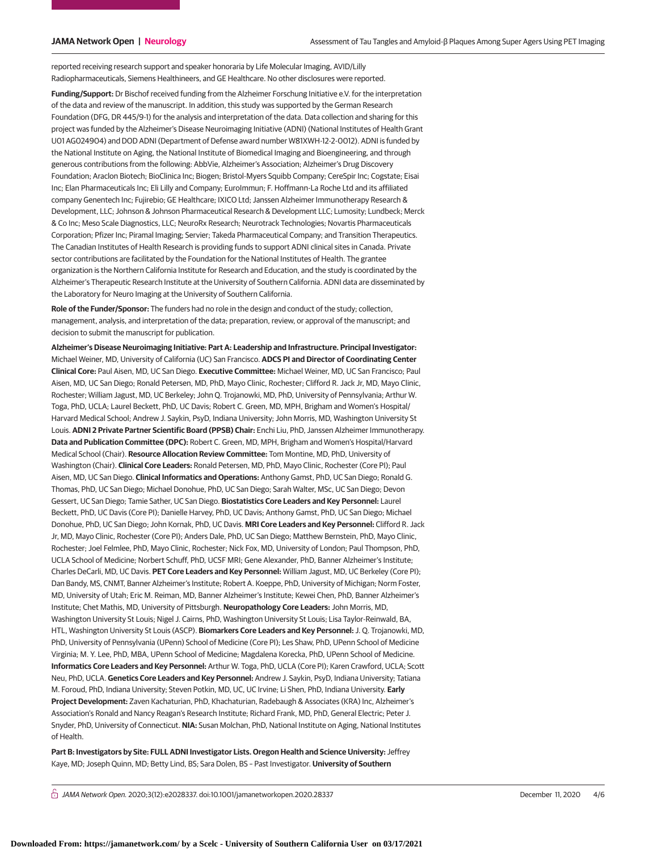reported receiving research support and speaker honoraria by Life Molecular Imaging, AVID/Lilly Radiopharmaceuticals, Siemens Healthineers, and GE Healthcare. No other disclosures were reported.

**Funding/Support:** Dr Bischof received funding from the Alzheimer Forschung Initiative e.V. for the interpretation of the data and review of the manuscript. In addition, this study was supported by the German Research Foundation (DFG, DR 445/9-1) for the analysis and interpretation of the data. Data collection and sharing for this project was funded by the Alzheimer's Disease Neuroimaging Initiative (ADNI) (National Institutes of Health Grant U01 AG024904) and DOD ADNI (Department of Defense award number W81XWH-12-2-0012). ADNI is funded by the National Institute on Aging, the National Institute of Biomedical Imaging and Bioengineering, and through generous contributions from the following: AbbVie, Alzheimer's Association; Alzheimer's Drug Discovery Foundation; Araclon Biotech; BioClinica Inc; Biogen; Bristol-Myers Squibb Company; CereSpir Inc; Cogstate; Eisai Inc; Elan Pharmaceuticals Inc; Eli Lilly and Company; EuroImmun; F. Hoffmann-La Roche Ltd and its affiliated company Genentech Inc; Fujirebio; GE Healthcare; IXICO Ltd; Janssen Alzheimer Immunotherapy Research & Development, LLC; Johnson & Johnson Pharmaceutical Research & Development LLC; Lumosity; Lundbeck; Merck & Co Inc; Meso Scale Diagnostics, LLC; NeuroRx Research; Neurotrack Technologies; Novartis Pharmaceuticals Corporation; Pfizer Inc; Piramal Imaging; Servier; Takeda Pharmaceutical Company; and Transition Therapeutics. The Canadian Institutes of Health Research is providing funds to support ADNI clinical sites in Canada. Private sector contributions are facilitated by the Foundation for the National Institutes of Health. The grantee organization is the Northern California Institute for Research and Education, and the study is coordinated by the Alzheimer's Therapeutic Research Institute at the University of Southern California. ADNI data are disseminated by the Laboratory for Neuro Imaging at the University of Southern California.

**Role of the Funder/Sponsor:** The funders had no role in the design and conduct of the study; collection, management, analysis, and interpretation of the data; preparation, review, or approval of the manuscript; and decision to submit the manuscript for publication.

**Alzheimer's Disease Neuroimaging Initiative: Part A: Leadership and Infrastructure. Principal Investigator:** Michael Weiner, MD, University of California (UC) San Francisco. **ADCS PI and Director of Coordinating Center Clinical Core:** Paul Aisen, MD, UC San Diego. **Executive Committee:** Michael Weiner, MD, UC San Francisco; Paul Aisen, MD, UC San Diego; Ronald Petersen, MD, PhD, Mayo Clinic, Rochester; Clifford R. Jack Jr, MD, Mayo Clinic, Rochester; William Jagust, MD, UC Berkeley; John Q. Trojanowki, MD, PhD, University of Pennsylvania; Arthur W. Toga, PhD, UCLA; Laurel Beckett, PhD, UC Davis; Robert C. Green, MD, MPH, Brigham and Women's Hospital/ Harvard Medical School; Andrew J. Saykin, PsyD, Indiana University; John Morris, MD, Washington University St Louis. **ADNI 2 Private Partner Scientific Board (PPSB) Chair:** Enchi Liu, PhD, Janssen Alzheimer Immunotherapy. **Data and Publication Committee (DPC):** Robert C. Green, MD, MPH, Brigham and Women's Hospital/Harvard Medical School (Chair). **Resource Allocation Review Committee:** Tom Montine, MD, PhD, University of Washington (Chair). **Clinical Core Leaders:** Ronald Petersen, MD, PhD, Mayo Clinic, Rochester (Core PI); Paul Aisen, MD, UC San Diego. **Clinical Informatics and Operations:** Anthony Gamst, PhD, UC San Diego; Ronald G. Thomas, PhD, UC San Diego; Michael Donohue, PhD, UC San Diego; Sarah Walter, MSc, UC San Diego; Devon Gessert, UC San Diego; Tamie Sather, UC San Diego. **Biostatistics Core Leaders and Key Personnel:** Laurel Beckett, PhD, UC Davis (Core PI); Danielle Harvey, PhD, UC Davis; Anthony Gamst, PhD, UC San Diego; Michael Donohue, PhD, UC San Diego; John Kornak, PhD, UC Davis. **MRI Core Leaders and Key Personnel:** Clifford R. Jack Jr, MD, Mayo Clinic, Rochester (Core PI); Anders Dale, PhD, UC San Diego; Matthew Bernstein, PhD, Mayo Clinic, Rochester; Joel Felmlee, PhD, Mayo Clinic, Rochester; Nick Fox, MD, University of London; Paul Thompson, PhD, UCLA School of Medicine; Norbert Schuff, PhD, UCSF MRI; Gene Alexander, PhD, Banner Alzheimer's Institute; Charles DeCarli, MD, UC Davis. **PET Core Leaders and Key Personnel:** William Jagust, MD, UC Berkeley (Core PI); Dan Bandy, MS, CNMT, Banner Alzheimer's Institute; Robert A. Koeppe, PhD, University of Michigan; Norm Foster, MD, University of Utah; Eric M. Reiman, MD, Banner Alzheimer's Institute; Kewei Chen, PhD, Banner Alzheimer's Institute; Chet Mathis, MD, University of Pittsburgh. **Neuropathology Core Leaders:** John Morris, MD, Washington University St Louis; Nigel J. Cairns, PhD, Washington University St Louis; Lisa Taylor-Reinwald, BA, HTL, Washington University St Louis (ASCP). **Biomarkers Core Leaders and Key Personnel:** J. Q. Trojanowki, MD, PhD, University of Pennsylvania (UPenn) School of Medicine (Core PI); Les Shaw, PhD, UPenn School of Medicine Virginia; M. Y. Lee, PhD, MBA, UPenn School of Medicine; Magdalena Korecka, PhD, UPenn School of Medicine. **Informatics Core Leaders and Key Personnel:** Arthur W. Toga, PhD, UCLA (Core PI); Karen Crawford, UCLA; Scott Neu, PhD, UCLA. **Genetics Core Leaders and Key Personnel:** Andrew J. Saykin, PsyD, Indiana University; Tatiana M. Foroud, PhD, Indiana University; Steven Potkin, MD, UC, UC Irvine; Li Shen, PhD, Indiana University. **Early Project Development:** Zaven Kachaturian, PhD, Khachaturian, Radebaugh & Associates (KRA) Inc, Alzheimer's Association's Ronald and Nancy Reagan's Research Institute; Richard Frank, MD, PhD, General Electric; Peter J. Snyder, PhD, University of Connecticut. **NIA:** Susan Molchan, PhD, National Institute on Aging, National Institutes of Health.

**Part B: Investigators by Site: FULL ADNI Investigator Lists. Oregon Health and Science University:** Jeffrey Kaye, MD; Joseph Quinn, MD; Betty Lind, BS; Sara Dolen, BS – Past Investigator. **University of Southern**

 $\bigcap$  JAMA Network Open. 2020;3(12):e2028337. doi:10.1001/jamanetworkopen.2020.28337 (Reprinted) December 11, 2020 4/6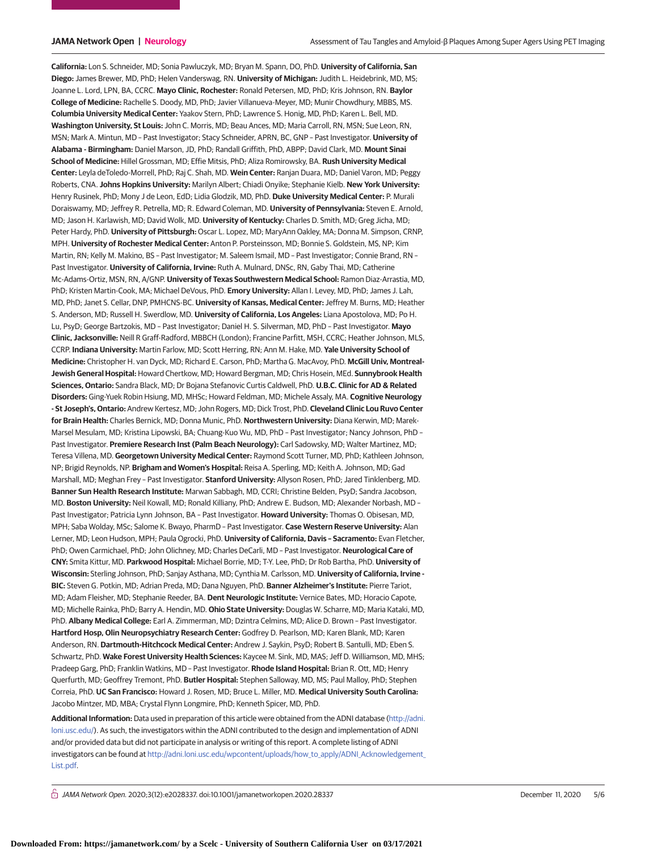**California:** Lon S. Schneider, MD; Sonia Pawluczyk, MD; Bryan M. Spann, DO, PhD. **University of California, San Diego:** James Brewer, MD, PhD; Helen Vanderswag, RN. **University of Michigan:** Judith L. Heidebrink, MD, MS; Joanne L. Lord, LPN, BA, CCRC. **Mayo Clinic, Rochester:** Ronald Petersen, MD, PhD; Kris Johnson, RN. **Baylor College of Medicine:** Rachelle S. Doody, MD, PhD; Javier Villanueva-Meyer, MD; Munir Chowdhury, MBBS, MS. **Columbia University Medical Center:** Yaakov Stern, PhD; Lawrence S. Honig, MD, PhD; Karen L. Bell, MD. **Washington University, St Louis:** John C. Morris, MD; Beau Ances, MD; Maria Carroll, RN, MSN; Sue Leon, RN, MSN; Mark A. Mintun, MD – Past Investigator; Stacy Schneider, APRN, BC, GNP – Past Investigator. **University of Alabama - Birmingham:** Daniel Marson, JD, PhD; Randall Griffith, PhD, ABPP; David Clark, MD. **Mount Sinai School of Medicine:** Hillel Grossman, MD; Effie Mitsis, PhD; Aliza Romirowsky, BA. **Rush University Medical Center:** Leyla deToledo-Morrell, PhD; Raj C. Shah, MD. **Wein Center:** Ranjan Duara, MD; Daniel Varon, MD; Peggy Roberts, CNA. **Johns Hopkins University:** Marilyn Albert; Chiadi Onyike; Stephanie Kielb. **New York University:** Henry Rusinek, PhD; Mony J de Leon, EdD; Lidia Glodzik, MD, PhD. **Duke University Medical Center:** P. Murali Doraiswamy, MD; Jeffrey R. Petrella, MD; R. Edward Coleman, MD. **University of Pennsylvania:** Steven E. Arnold, MD; Jason H. Karlawish, MD; David Wolk, MD. **University of Kentucky:** Charles D. Smith, MD; Greg Jicha, MD; Peter Hardy, PhD. **University of Pittsburgh:** Oscar L. Lopez, MD; MaryAnn Oakley, MA; Donna M. Simpson, CRNP, MPH. **University of Rochester Medical Center:** Anton P. Porsteinsson, MD; Bonnie S. Goldstein, MS, NP; Kim Martin, RN; Kelly M. Makino, BS – Past Investigator; M. Saleem Ismail, MD – Past Investigator; Connie Brand, RN – Past Investigator. **University of California, Irvine:** Ruth A. Mulnard, DNSc, RN, Gaby Thai, MD; Catherine Mc-Adams-Ortiz, MSN, RN, A/GNP. **University of Texas Southwestern Medical School:** Ramon Diaz-Arrastia, MD, PhD; Kristen Martin-Cook, MA; Michael DeVous, PhD. **Emory University:** Allan I. Levey, MD, PhD; James J. Lah, MD, PhD; Janet S. Cellar, DNP, PMHCNS-BC. **University of Kansas, Medical Center:** Jeffrey M. Burns, MD; Heather S. Anderson, MD; Russell H. Swerdlow, MD. **University of California, Los Angeles:** Liana Apostolova, MD; Po H. Lu, PsyD; George Bartzokis, MD – Past Investigator; Daniel H. S. Silverman, MD, PhD – Past Investigator. **Mayo Clinic, Jacksonville:** Neill R Graff-Radford, MBBCH (London); Francine Parfitt, MSH, CCRC; Heather Johnson, MLS, CCRP. **Indiana University:** Martin Farlow, MD; Scott Herring, RN; Ann M. Hake, MD. **Yale University School of Medicine:** Christopher H. van Dyck, MD; Richard E. Carson, PhD; Martha G. MacAvoy, PhD. **McGill Univ, Montreal-Jewish General Hospital:** Howard Chertkow, MD; Howard Bergman, MD; Chris Hosein, MEd. **Sunnybrook Health Sciences, Ontario:** Sandra Black, MD; Dr Bojana Stefanovic Curtis Caldwell, PhD. **U.B.C. Clinic for AD & Related Disorders:** Ging-Yuek Robin Hsiung, MD, MHSc; Howard Feldman, MD; Michele Assaly, MA. **Cognitive Neurology - St Joseph's, Ontario:** Andrew Kertesz, MD; John Rogers, MD; Dick Trost, PhD. **Cleveland Clinic Lou Ruvo Center for Brain Health:** Charles Bernick, MD; Donna Munic, PhD. **Northwestern University:** Diana Kerwin, MD; Marek-Marsel Mesulam, MD; Kristina Lipowski, BA; Chuang-Kuo Wu, MD, PhD – Past Investigator; Nancy Johnson, PhD – Past Investigator. **Premiere Research Inst (Palm Beach Neurology):** Carl Sadowsky, MD; Walter Martinez, MD; Teresa Villena, MD. **Georgetown University Medical Center:** Raymond Scott Turner, MD, PhD; Kathleen Johnson, NP; Brigid Reynolds, NP. **Brigham and Women's Hospital:** Reisa A. Sperling, MD; Keith A. Johnson, MD; Gad Marshall, MD; Meghan Frey – Past Investigator. **Stanford University:** Allyson Rosen, PhD; Jared Tinklenberg, MD. **Banner Sun Health Research Institute:** Marwan Sabbagh, MD, CCRI; Christine Belden, PsyD; Sandra Jacobson, MD. **Boston University:** Neil Kowall, MD; Ronald Killiany, PhD; Andrew E. Budson, MD; Alexander Norbash, MD – Past Investigator; Patricia Lynn Johnson, BA – Past Investigator. **Howard University:** Thomas O. Obisesan, MD, MPH; Saba Wolday, MSc; Salome K. Bwayo, PharmD – Past Investigator. **Case Western Reserve University:** Alan Lerner, MD; Leon Hudson, MPH; Paula Ogrocki, PhD. **University of California, Davis – Sacramento:** Evan Fletcher, PhD; Owen Carmichael, PhD; John Olichney, MD; Charles DeCarli, MD – Past Investigator. **Neurological Care of CNY:** Smita Kittur, MD. **Parkwood Hospital:** Michael Borrie, MD; T-Y. Lee, PhD; Dr Rob Bartha, PhD. **University of Wisconsin:** Sterling Johnson, PhD; Sanjay Asthana, MD; Cynthia M. Carlsson, MD. **University of California, Irvine - BIC:** Steven G. Potkin, MD; Adrian Preda, MD; Dana Nguyen, PhD. **Banner Alzheimer's Institute:** Pierre Tariot, MD; Adam Fleisher, MD; Stephanie Reeder, BA. **Dent Neurologic Institute:** Vernice Bates, MD; Horacio Capote, MD; Michelle Rainka, PhD; Barry A. Hendin, MD. **Ohio State University:** Douglas W. Scharre, MD; Maria Kataki, MD, PhD. **Albany Medical College:** Earl A. Zimmerman, MD; Dzintra Celmins, MD; Alice D. Brown – Past Investigator. **Hartford Hosp, Olin Neuropsychiatry Research Center:** Godfrey D. Pearlson, MD; Karen Blank, MD; Karen Anderson, RN. **Dartmouth-Hitchcock Medical Center:** Andrew J. Saykin, PsyD; Robert B. Santulli, MD; Eben S. Schwartz, PhD. **Wake Forest University Health Sciences:** Kaycee M. Sink, MD, MAS; Jeff D. Williamson, MD, MHS; Pradeep Garg, PhD; Franklin Watkins, MD – Past Investigator. **Rhode Island Hospital:** Brian R. Ott, MD; Henry Querfurth, MD; Geoffrey Tremont, PhD. **Butler Hospital:** Stephen Salloway, MD, MS; Paul Malloy, PhD; Stephen Correia, PhD. **UC San Francisco:** Howard J. Rosen, MD; Bruce L. Miller, MD. **Medical University South Carolina:** Jacobo Mintzer, MD, MBA; Crystal Flynn Longmire, PhD; Kenneth Spicer, MD, PhD.

**Additional Information:** Data used in preparation of this article were obtained from the ADNI database [\(http://adni.](http://adni.loni.usc.edu/) [loni.usc.edu/\)](http://adni.loni.usc.edu/). As such, the investigators within the ADNI contributed to the design and implementation of ADNI and/or provided data but did not participate in analysis or writing of this report. A complete listing of ADNI investigators can be found at http://adni.loni.usc.edu/wpcontent/uploads/how\_to\_apply/ADNI\_Acknowledgement [List.pdf.](http://adni.loni.usc.edu/wpcontent/uploads/how_to_apply/ADNI_Acknowledgement_List.pdf)

 $\bigcap$  JAMA Network Open. 2020;3(12):e2028337. doi:10.1001/jamanetworkopen.2020.28337 (Reprinted) December 11, 2020 5/6